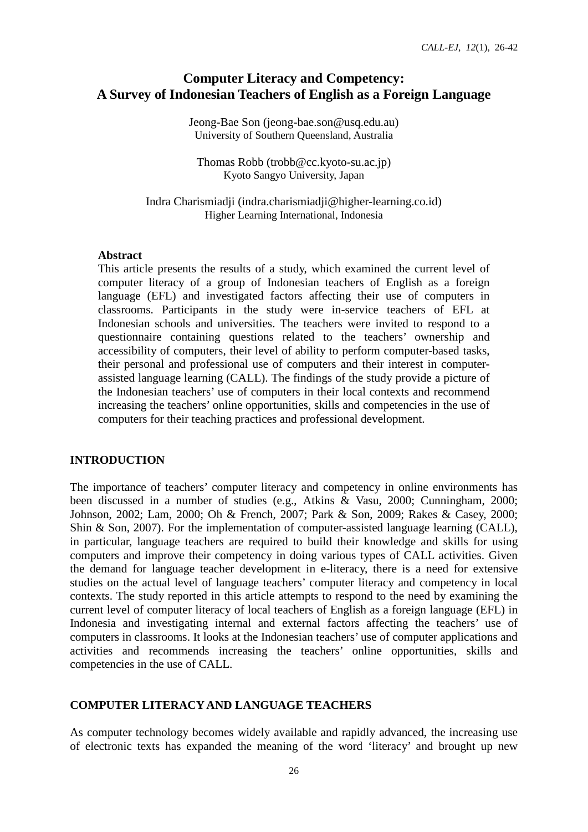# **Computer Literacy and Competency: A Survey of Indonesian Teachers of English as a Foreign Language**

Jeong-Bae Son (jeong-bae.son@usq.edu.au) University of Southern Queensland, Australia

Thomas Robb (trobb@cc.kyoto-su.ac.jp) Kyoto Sangyo University, Japan

Indra Charismiadji (indra.charismiadji@higher-learning.co.id) Higher Learning International, Indonesia

#### **Abstract**

This article presents the results of a study, which examined the current level of computer literacy of a group of Indonesian teachers of English as a foreign language (EFL) and investigated factors affecting their use of computers in classrooms. Participants in the study were in-service teachers of EFL at Indonesian schools and universities. The teachers were invited to respond to a questionnaire containing questions related to the teachers' ownership and accessibility of computers, their level of ability to perform computer-based tasks, their personal and professional use of computers and their interest in computerassisted language learning (CALL). The findings of the study provide a picture of the Indonesian teachers' use of computers in their local contexts and recommend increasing the teachers' online opportunities, skills and competencies in the use of computers for their teaching practices and professional development.

### **INTRODUCTION**

The importance of teachers' computer literacy and competency in online environments has been discussed in a number of studies (e.g., Atkins & Vasu, 2000; Cunningham, 2000; Johnson, 2002; Lam, 2000; Oh & French, 2007; Park & Son, 2009; Rakes & Casey, 2000; Shin & Son, 2007). For the implementation of computer-assisted language learning (CALL), in particular, language teachers are required to build their knowledge and skills for using computers and improve their competency in doing various types of CALL activities. Given the demand for language teacher development in e-literacy, there is a need for extensive studies on the actual level of language teachers' computer literacy and competency in local contexts. The study reported in this article attempts to respond to the need by examining the current level of computer literacy of local teachers of English as a foreign language (EFL) in Indonesia and investigating internal and external factors affecting the teachers' use of computers in classrooms. It looks at the Indonesian teachers' use of computer applications and activities and recommends increasing the teachers' online opportunities, skills and competencies in the use of CALL.

### **COMPUTER LITERACY AND LANGUAGE TEACHERS**

As computer technology becomes widely available and rapidly advanced, the increasing use of electronic texts has expanded the meaning of the word 'literacy' and brought up new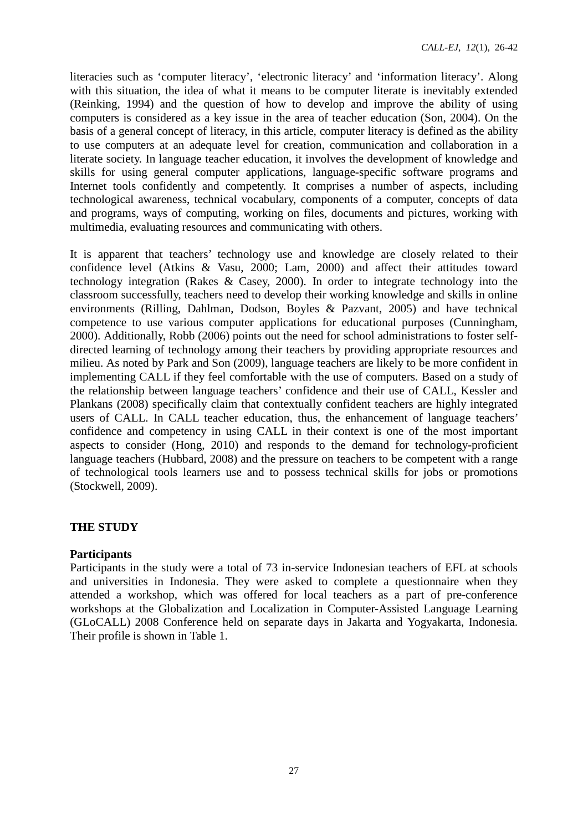literacies such as 'computer literacy', 'electronic literacy' and 'information literacy'. Along with this situation, the idea of what it means to be computer literate is inevitably extended (Reinking, 1994) and the question of how to develop and improve the ability of using computers is considered as a key issue in the area of teacher education (Son, 2004). On the basis of a general concept of literacy, in this article, computer literacy is defined as the ability to use computers at an adequate level for creation, communication and collaboration in a literate society. In language teacher education, it involves the development of knowledge and skills for using general computer applications, language-specific software programs and Internet tools confidently and competently. It comprises a number of aspects, including technological awareness, technical vocabulary, components of a computer, concepts of data and programs, ways of computing, working on files, documents and pictures, working with multimedia, evaluating resources and communicating with others.

It is apparent that teachers' technology use and knowledge are closely related to their confidence level (Atkins & Vasu, 2000; Lam, 2000) and affect their attitudes toward technology integration (Rakes & Casey, 2000). In order to integrate technology into the classroom successfully, teachers need to develop their working knowledge and skills in online environments (Rilling, Dahlman, Dodson, Boyles & Pazvant, 2005) and have technical competence to use various computer applications for educational purposes (Cunningham, 2000). Additionally, Robb (2006) points out the need for school administrations to foster selfdirected learning of technology among their teachers by providing appropriate resources and milieu. As noted by Park and Son (2009), language teachers are likely to be more confident in implementing CALL if they feel comfortable with the use of computers. Based on a study of the relationship between language teachers' confidence and their use of CALL, Kessler and Plankans (2008) specifically claim that contextually confident teachers are highly integrated users of CALL. In CALL teacher education, thus, the enhancement of language teachers' confidence and competency in using CALL in their context is one of the most important aspects to consider (Hong, 2010) and responds to the demand for technology-proficient language teachers (Hubbard, 2008) and the pressure on teachers to be competent with a range of technological tools learners use and to possess technical skills for jobs or promotions (Stockwell, 2009).

#### **THE STUDY**

#### **Participants**

Participants in the study were a total of 73 in-service Indonesian teachers of EFL at schools and universities in Indonesia. They were asked to complete a questionnaire when they attended a workshop, which was offered for local teachers as a part of pre-conference workshops at the Globalization and Localization in Computer-Assisted Language Learning (GLoCALL) 2008 Conference held on separate days in Jakarta and Yogyakarta, Indonesia. Their profile is shown in Table 1.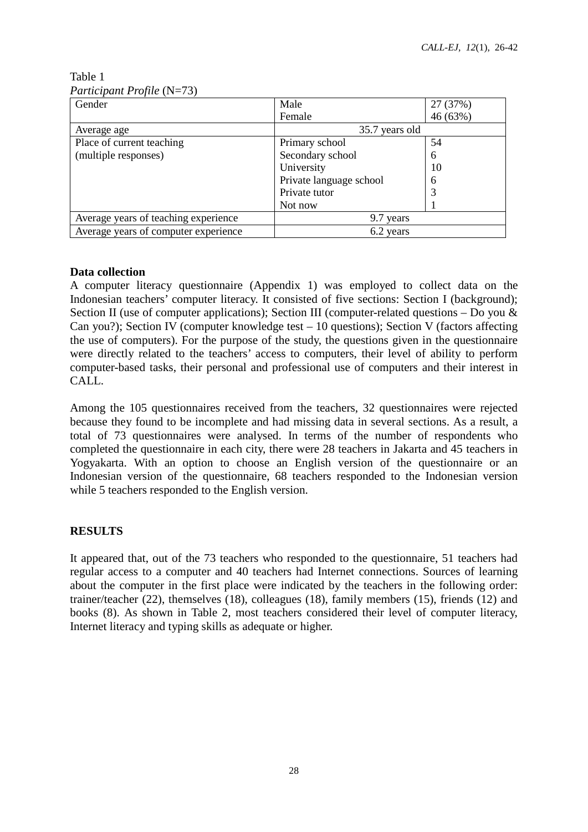Table 1 *Participant Profile* (N=73)

| Gender                               | Male<br>27 (37%)        |          |
|--------------------------------------|-------------------------|----------|
|                                      | Female                  | 46 (63%) |
| Average age                          | 35.7 years old          |          |
| Place of current teaching            | Primary school          | 54       |
| (multiple responses)                 | Secondary school        | 6        |
|                                      | University              | 10       |
|                                      | Private language school | 6        |
|                                      | Private tutor           | 3        |
|                                      | Not now                 |          |
| Average years of teaching experience | 9.7 years               |          |
| Average years of computer experience | 6.2 years               |          |

## **Data collection**

A computer literacy questionnaire (Appendix 1) was employed to collect data on the Indonesian teachers' computer literacy. It consisted of five sections: Section I (background); Section II (use of computer applications); Section III (computer-related questions – Do you  $\&$ Can you?); Section IV (computer knowledge test – 10 questions); Section V (factors affecting the use of computers). For the purpose of the study, the questions given in the questionnaire were directly related to the teachers' access to computers, their level of ability to perform computer-based tasks, their personal and professional use of computers and their interest in CALL.

Among the 105 questionnaires received from the teachers, 32 questionnaires were rejected because they found to be incomplete and had missing data in several sections. As a result, a total of 73 questionnaires were analysed. In terms of the number of respondents who completed the questionnaire in each city, there were 28 teachers in Jakarta and 45 teachers in Yogyakarta. With an option to choose an English version of the questionnaire or an Indonesian version of the questionnaire, 68 teachers responded to the Indonesian version while 5 teachers responded to the English version.

# **RESULTS**

It appeared that, out of the 73 teachers who responded to the questionnaire, 51 teachers had regular access to a computer and 40 teachers had Internet connections. Sources of learning about the computer in the first place were indicated by the teachers in the following order: trainer/teacher (22), themselves (18), colleagues (18), family members (15), friends (12) and books (8). As shown in Table 2, most teachers considered their level of computer literacy, Internet literacy and typing skills as adequate or higher.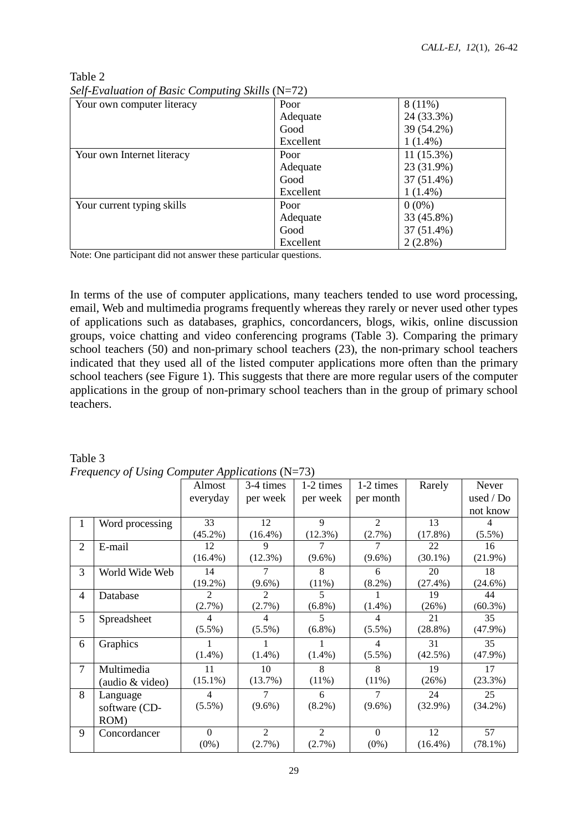| Your own computer literacy | Poor      | $8(11\%)$    |
|----------------------------|-----------|--------------|
|                            | Adequate  | 24 (33.3%)   |
|                            | Good      | 39 (54.2%)   |
|                            | Excellent | $1(1.4\%)$   |
| Your own Internet literacy | Poor      | $11(15.3\%)$ |
|                            | Adequate  | 23 (31.9%)   |
|                            | Good      | $37(51.4\%)$ |
|                            | Excellent | $1(1.4\%)$   |
| Your current typing skills | Poor      | $0(0\%)$     |
|                            | Adequate  | 33 (45.8%)   |
|                            | Good      | 37 (51.4%)   |
|                            | Excellent | $2(2.8\%)$   |

Table 2 *Self-Evaluation of Basic Computing Skills* (N=72)

Note: One participant did not answer these particular questions.

In terms of the use of computer applications, many teachers tended to use word processing, email, Web and multimedia programs frequently whereas they rarely or never used other types of applications such as databases, graphics, concordancers, blogs, wikis, online discussion groups, voice chatting and video conferencing programs (Table 3). Comparing the primary school teachers (50) and non-primary school teachers (23), the non-primary school teachers indicated that they used all of the listed computer applications more often than the primary school teachers (see Figure 1). This suggests that there are more regular users of the computer applications in the group of non-primary school teachers than in the group of primary school teachers.

|                | $1$ requency of $0$ sing computer applications $(1 - 15)$ |                |                |                |                |            |            |
|----------------|-----------------------------------------------------------|----------------|----------------|----------------|----------------|------------|------------|
|                |                                                           | Almost         | 3-4 times      | 1-2 times      | 1-2 times      | Rarely     | Never      |
|                |                                                           | everyday       | per week       | per week       | per month      |            | used / Do  |
|                |                                                           |                |                |                |                |            | not know   |
| 1              | Word processing                                           | 33             | 12             | $\mathbf{Q}$   | $\mathfrak{D}$ | 13         | 4          |
|                |                                                           | $(45.2\%)$     | $(16.4\%)$     | (12.3%)        | $(2.7\%)$      | (17.8%)    | $(5.5\%)$  |
| $\overline{2}$ | E-mail                                                    | 12             | 9              |                |                | 22         | 16         |
|                |                                                           | $(16.4\%)$     | (12.3%)        | $(9.6\%)$      | $(9.6\%)$      | $(30.1\%)$ | (21.9%)    |
| 3              | World Wide Web                                            | 14             | $\tau$         | 8              | 6              | 20         | 18         |
|                |                                                           | $(19.2\%)$     | $(9.6\%)$      | (11%)          | $(8.2\%)$      | $(27.4\%)$ | $(24.6\%)$ |
| $\overline{4}$ | Database                                                  | $\mathfrak{D}$ | $\mathfrak{D}$ | 5              |                | 19         | 44         |
|                |                                                           | (2.7%)         | (2.7%)         | $(6.8\%)$      | $(1.4\%)$      | (26%)      | $(60.3\%)$ |
| 5              | Spreadsheet                                               | 4              | $\overline{4}$ | 5              | 4              | 21         | 35         |
|                |                                                           | $(5.5\%)$      | $(5.5\%)$      | $(6.8\%)$      | $(5.5\%)$      | $(28.8\%)$ | $(47.9\%)$ |
| 6              | Graphics                                                  |                |                |                | 4              | 31         | 35         |
|                |                                                           | $(1.4\%)$      | $(1.4\%)$      | $(1.4\%)$      | $(5.5\%)$      | $(42.5\%)$ | $(47.9\%)$ |
| 7              | Multimedia                                                | 11             | 10             | 8              | 8              | 19         | 17         |
|                | (audio & video)                                           | $(15.1\%)$     | $(13.7\%)$     | $(11\%)$       | $(11\%)$       | (26%)      | (23.3%)    |
| 8              | Language                                                  | $\overline{4}$ | 7              | 6              | 7              | 24         | 25         |
|                | software (CD-                                             | $(5.5\%)$      | $(9.6\%)$      | $(8.2\%)$      | $(9.6\%)$      | $(32.9\%)$ | $(34.2\%)$ |
|                | ROM)                                                      |                |                |                |                |            |            |
| 9              | Concordancer                                              | $\theta$       | 2              | $\overline{2}$ | $\Omega$       | 12         | 57         |
|                |                                                           | $(0\%)$        | $(2.7\%)$      | $(2.7\%)$      | $(0\%)$        | $(16.4\%)$ | $(78.1\%)$ |
|                |                                                           |                |                |                |                |            |            |

Table 3 *Frequency of Using Computer Applications* (N=73)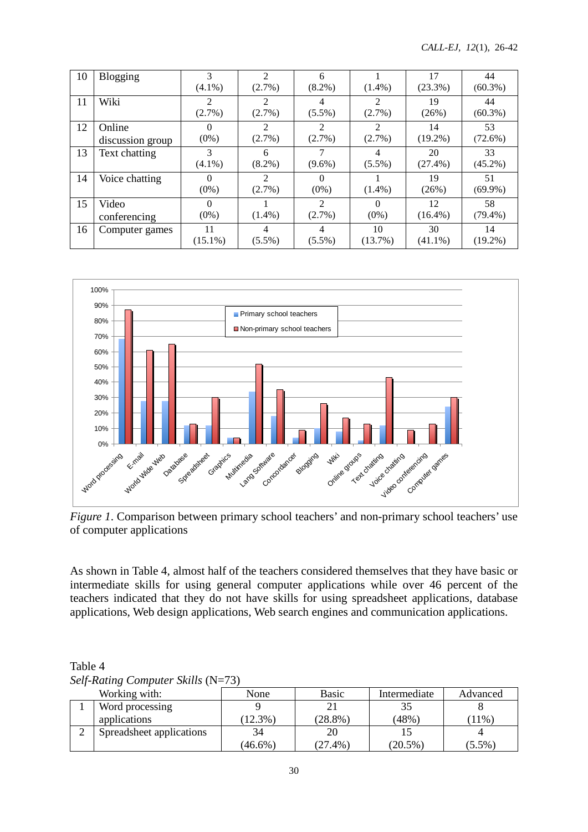| 10 | <b>Blogging</b>  | 3          | $\mathfrak{D}$ | 6                           |                             | 17         | 44         |
|----|------------------|------------|----------------|-----------------------------|-----------------------------|------------|------------|
|    |                  | $(4.1\%)$  | $(2.7\%)$      | $(8.2\%)$                   | $(1.4\%)$                   | $(23.3\%)$ | $(60.3\%)$ |
| 11 | Wiki             |            | 2              | 4                           | 2                           | 19         | 44         |
|    |                  | $(2.7\%)$  | (2.7%)         | $(5.5\%)$                   | $(2.7\%)$                   | (26%)      | $(60.3\%)$ |
| 12 | Online           |            | $\mathfrak{D}$ | $\mathcal{D}_{\mathcal{L}}$ | $\mathcal{D}_{\mathcal{L}}$ | 14         | 53         |
|    | discussion group | $(0\%)$    | $(2.7\%)$      | $(2.7\%)$                   | $(2.7\%)$                   | $(19.2\%)$ | $(72.6\%)$ |
| 13 | Text chatting    | 3          | 6              |                             | 4                           | 20         | 33         |
|    |                  | $(4.1\%)$  | $(8.2\%)$      | $(9.6\%)$                   | $(5.5\%)$                   | $(27.4\%)$ | $(45.2\%)$ |
| 14 | Voice chatting   |            | 2              | $\Omega$                    |                             | 19         | 51         |
|    |                  | $(0\%)$    | $(2.7\%)$      | $(0\%)$                     | $(1.4\%)$                   | (26%)      | $(69.9\%)$ |
| 15 | Video            | $\Omega$   |                | $\mathfrak{D}$              | $\Omega$                    | 12         | 58         |
|    | conferencing     | $(0\%)$    | $(1.4\%)$      | $(2.7\%)$                   | $(0\%)$                     | $(16.4\%)$ | $(79.4\%)$ |
| 16 | Computer games   | 11         | 4              | 4                           | 10                          | 30         | 14         |
|    |                  | $(15.1\%)$ | $(5.5\%)$      | $(5.5\%)$                   | $(13.7\%)$                  | $(41.1\%)$ | $(19.2\%)$ |



*Figure 1*. Comparison between primary school teachers' and non-primary school teachers' use of computer applications

As shown in Table 4, almost half of the teachers considered themselves that they have basic or intermediate skills for using general computer applications while over 46 percent of the teachers indicated that they do not have skills for using spreadsheet applications, database applications, Web design applications, Web search engines and communication applications.

| Table 4                                       |  |  |
|-----------------------------------------------|--|--|
| <i>Self-Rating Computer Skills</i> ( $N=73$ ) |  |  |

| Working with:            | None       | <b>Basic</b> | Intermediate | Advanced  |
|--------------------------|------------|--------------|--------------|-----------|
| Word processing          |            |              | 35           |           |
| applications             | 12.3%)     | $(28.8\%)$   | $(48\%)$     | $11\%$    |
| Spreadsheet applications | 34         | 20           |              |           |
|                          | $(46.6\%)$ | $(27.4\%)$   | $(20.5\%)$   | $(5.5\%)$ |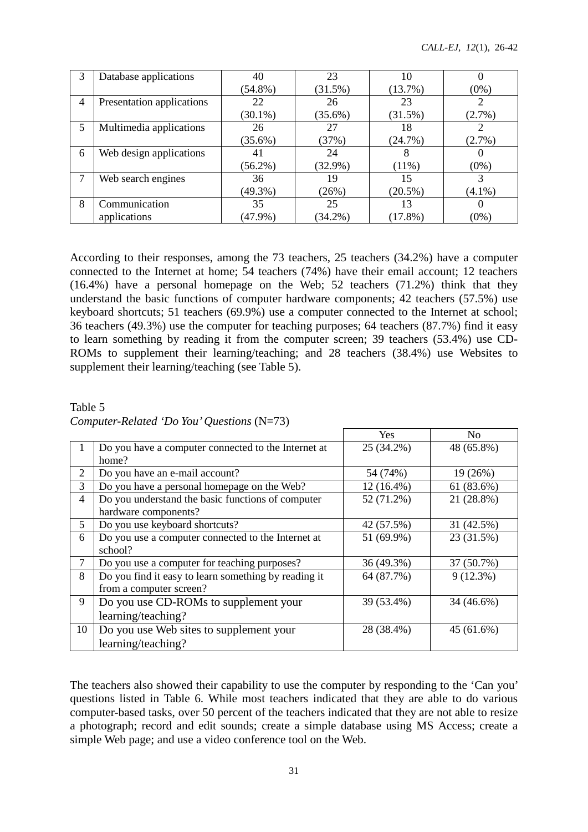| 3 | Database applications     | 40         | 23         | 10         |           |
|---|---------------------------|------------|------------|------------|-----------|
|   |                           | $(54.8\%)$ | (31.5%)    | $(13.7\%)$ | $(0\%)$   |
| 4 | Presentation applications | 22         | 26         | 23         |           |
|   |                           | $(30.1\%)$ | $(35.6\%)$ | $(31.5\%)$ | $(2.7\%)$ |
| 5 | Multimedia applications   | 26         | 27         | 18         |           |
|   |                           | $(35.6\%)$ | (37%)      | (24.7%)    | $(2.7\%)$ |
| 6 | Web design applications   | 41         | 24         | 8          |           |
|   |                           | $(56.2\%)$ | $(32.9\%)$ | $(11\%)$   | $(0\%)$   |
| 7 | Web search engines        | 36         | 19         | 15         |           |
|   |                           | $(49.3\%)$ | (26%)      | $(20.5\%)$ | $(4.1\%)$ |
| 8 | Communication             | 35         | 25         | 13         |           |
|   | applications              | $(47.9\%)$ | $(34.2\%)$ | $(17.8\%)$ | $(0\%)$   |

According to their responses, among the 73 teachers, 25 teachers (34.2%) have a computer connected to the Internet at home; 54 teachers (74%) have their email account; 12 teachers (16.4%) have a personal homepage on the Web; 52 teachers (71.2%) think that they understand the basic functions of computer hardware components; 42 teachers (57.5%) use keyboard shortcuts; 51 teachers (69.9%) use a computer connected to the Internet at school; 36 teachers (49.3%) use the computer for teaching purposes; 64 teachers (87.7%) find it easy to learn something by reading it from the computer screen; 39 teachers (53.4%) use CD-ROMs to supplement their learning/teaching; and 28 teachers (38.4%) use Websites to supplement their learning/teaching (see Table 5).

Table 5 *Computer-Related 'Do You'Questions* (N=73)

|                |                                                      | Yes        | N <sub>0</sub> |
|----------------|------------------------------------------------------|------------|----------------|
|                | Do you have a computer connected to the Internet at  | 25 (34.2%) | 48 (65.8%)     |
|                | home?                                                |            |                |
| 2              | Do you have an e-mail account?                       | 54 (74%)   | 19 (26%)       |
| 3              | Do you have a personal homepage on the Web?          | 12 (16.4%) | 61 (83.6%)     |
| $\overline{4}$ | Do you understand the basic functions of computer    | 52 (71.2%) | 21 (28.8%)     |
|                | hardware components?                                 |            |                |
| 5              | Do you use keyboard shortcuts?                       | 42 (57.5%) | 31 (42.5%)     |
| 6              | Do you use a computer connected to the Internet at   | 51 (69.9%) | 23 (31.5%)     |
|                | school?                                              |            |                |
| 7              | Do you use a computer for teaching purposes?         | 36 (49.3%) | 37 (50.7%)     |
| 8              | Do you find it easy to learn something by reading it | 64 (87.7%) | $9(12.3\%)$    |
|                | from a computer screen?                              |            |                |
| 9              | Do you use CD-ROMs to supplement your                | 39 (53.4%) | 34 (46.6%)     |
|                | learning/teaching?                                   |            |                |
| 10             | Do you use Web sites to supplement your              | 28 (38.4%) | 45(61.6%)      |
|                | learning/teaching?                                   |            |                |

The teachers also showed their capability to use the computer by responding to the 'Can you' questions listed in Table 6. While most teachers indicated that they are able to do various computer-based tasks, over 50 percent of the teachers indicated that they are not able to resize a photograph; record and edit sounds; create a simple database using MS Access; create a simple Web page; and use a video conference tool on the Web.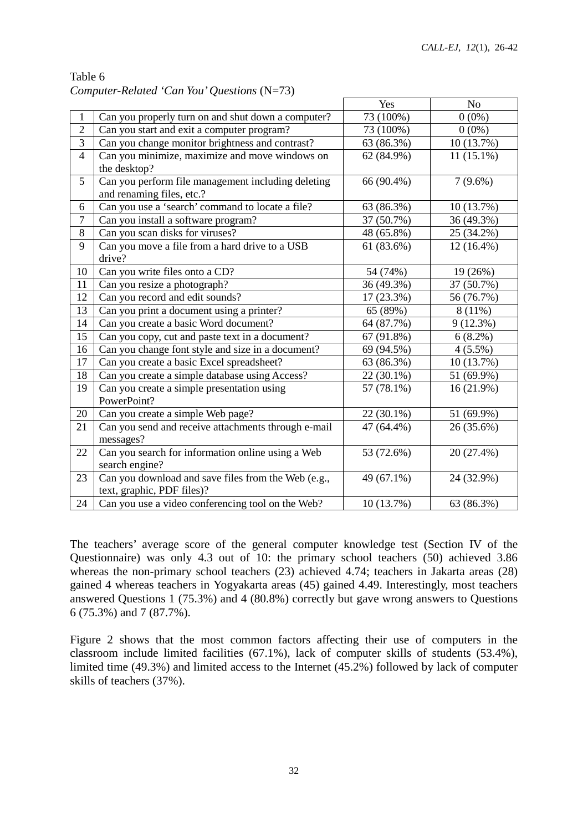|                |                                                     | Yes        | N <sub>o</sub> |
|----------------|-----------------------------------------------------|------------|----------------|
| $\mathbf{1}$   | Can you properly turn on and shut down a computer?  | 73 (100%)  | $0(0\%)$       |
| $\overline{2}$ | Can you start and exit a computer program?          | 73 (100%)  | $0(0\%)$       |
| $\overline{3}$ | Can you change monitor brightness and contrast?     | 63 (86.3%) | 10 (13.7%)     |
| $\overline{4}$ | Can you minimize, maximize and move windows on      | 62 (84.9%) | $11(15.1\%)$   |
|                | the desktop?                                        |            |                |
| 5              | Can you perform file management including deleting  | 66 (90.4%) | $7(9.6\%)$     |
|                | and renaming files, etc.?                           |            |                |
| 6              | Can you use a 'search' command to locate a file?    | 63 (86.3%) | 10 (13.7%)     |
| $\overline{7}$ | Can you install a software program?                 | 37 (50.7%) | 36 (49.3%)     |
| 8              | Can you scan disks for viruses?                     | 48 (65.8%) | 25 (34.2%)     |
| 9              | Can you move a file from a hard drive to a USB      | 61 (83.6%) | 12 (16.4%)     |
|                | drive?                                              |            |                |
| 10             | Can you write files onto a CD?                      | 54 (74%)   | 19 (26%)       |
| 11             | Can you resize a photograph?                        | 36 (49.3%) | 37 (50.7%)     |
| 12             | Can you record and edit sounds?                     | 17 (23.3%) | 56 (76.7%)     |
| 13             | Can you print a document using a printer?           | 65 (89%)   | $8(11\%)$      |
| 14             | Can you create a basic Word document?               | 64 (87.7%) | 9(12.3%)       |
| 15             | Can you copy, cut and paste text in a document?     | 67 (91.8%) | $6(8.2\%)$     |
| 16             | Can you change font style and size in a document?   | 69 (94.5%) | 4(5.5%)        |
| 17             | Can you create a basic Excel spreadsheet?           | 63 (86.3%) | 10 (13.7%)     |
| 18             | Can you create a simple database using Access?      | 22 (30.1%) | 51 (69.9%)     |
| 19             | Can you create a simple presentation using          | 57 (78.1%) | $16(21.9\%)$   |
|                | PowerPoint?                                         |            |                |
| 20             | Can you create a simple Web page?                   | 22 (30.1%) | 51 (69.9%)     |
| 21             | Can you send and receive attachments through e-mail | 47 (64.4%) | 26 (35.6%)     |
|                | messages?                                           |            |                |
| 22             | Can you search for information online using a Web   | 53 (72.6%) | 20 (27.4%)     |
|                | search engine?                                      |            |                |
| 23             | Can you download and save files from the Web (e.g., | 49 (67.1%) | 24 (32.9%)     |
|                | text, graphic, PDF files)?                          |            |                |
| 24             | Can you use a video conferencing tool on the Web?   | 10 (13.7%) | 63 (86.3%)     |

| Table 6                                       |  |
|-----------------------------------------------|--|
| Computer-Related 'Can You' Questions $(N=73)$ |  |

The teachers' average score of the general computer knowledge test (Section IV of the Questionnaire) was only 4.3 out of 10: the primary school teachers (50) achieved 3.86 whereas the non-primary school teachers (23) achieved 4.74; teachers in Jakarta areas (28) gained 4 whereas teachers in Yogyakarta areas (45) gained 4.49. Interestingly, most teachers answered Questions 1 (75.3%) and 4 (80.8%) correctly but gave wrong answers to Questions 6 (75.3%) and 7 (87.7%).

Figure 2 shows that the most common factors affecting their use of computers in the classroom include limited facilities (67.1%), lack of computer skills of students (53.4%), limited time (49.3%) and limited access to the Internet (45.2%) followed by lack of computer skills of teachers (37%).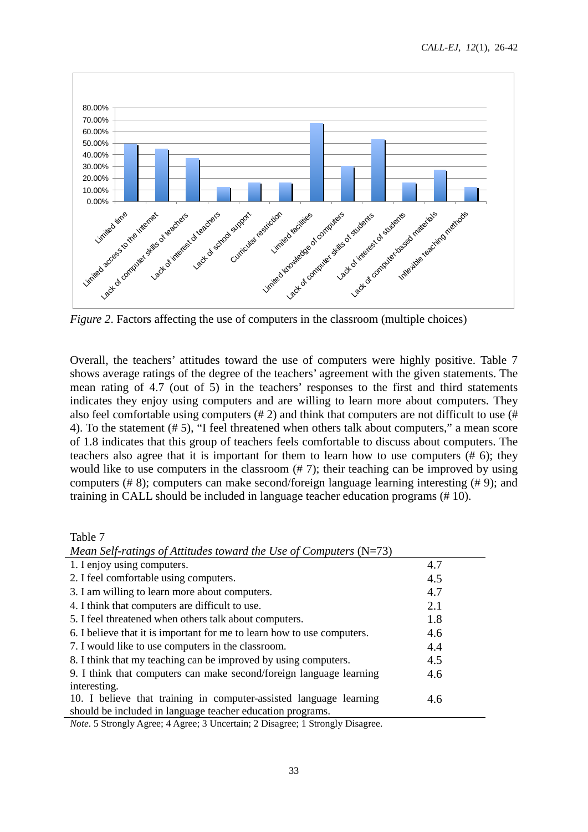

*Figure 2*. Factors affecting the use of computers in the classroom (multiple choices)

Overall, the teachers' attitudes toward the use of computers were highly positive. Table 7 shows average ratings of the degree of the teachers' agreement with the given statements. The mean rating of 4.7 (out of 5) in the teachers' responses to the first and third statements indicates they enjoy using computers and are willing to learn more about computers. They also feel comfortable using computers (# 2) and think that computers are not difficult to use (# 4). To the statement (# 5), "I feel threatened when others talk about computers," a mean score of 1.8 indicates that this group of teachers feels comfortable to discuss about computers. The teachers also agree that it is important for them to learn how to use computers (# 6); they would like to use computers in the classroom (# 7); their teaching can be improved by using computers (# 8); computers can make second/foreign language learning interesting (# 9); and training in CALL should be included in language teacher education programs (# 10).

### Table 7

| $\mu$ inequised Fig. Theorem 20 Annually computed to the $\mu$          |     |
|-------------------------------------------------------------------------|-----|
| 1. I enjoy using computers.                                             | 4.7 |
| 2. I feel comfortable using computers.                                  | 4.5 |
| 3. I am willing to learn more about computers.                          | 4.7 |
| 4. I think that computers are difficult to use.                         | 2.1 |
| 5. I feel threatened when others talk about computers.                  | 1.8 |
| 6. I believe that it is important for me to learn how to use computers. | 4.6 |
| 7. I would like to use computers in the classroom.                      | 4.4 |
| 8. I think that my teaching can be improved by using computers.         | 4.5 |
| 9. I think that computers can make second/foreign language learning     | 4.6 |
| interesting.                                                            |     |
| 10. I believe that training in computer-assisted language learning      | 4.6 |
| should be included in language teacher education programs.              |     |
|                                                                         |     |

*Mean Self-ratings of Attitudes toward the Use of Computers* (N=73)

*Note*. 5 Strongly Agree; 4 Agree; 3 Uncertain; 2 Disagree; 1 Strongly Disagree.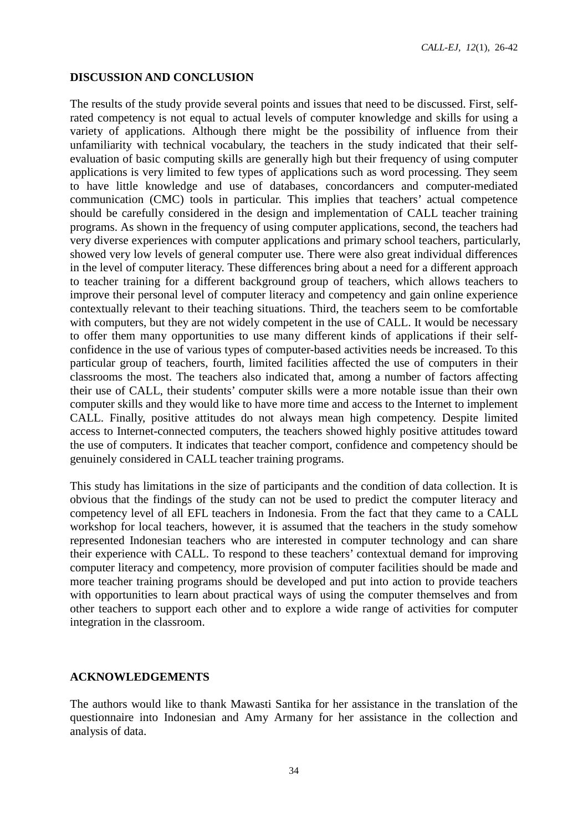*CALL-EJ, 12*(1), 26-42

#### **DISCUSSION AND CONCLUSION**

The results of the study provide several points and issues that need to be discussed. First, selfrated competency is not equal to actual levels of computer knowledge and skills for using a variety of applications. Although there might be the possibility of influence from their unfamiliarity with technical vocabulary, the teachers in the study indicated that their selfevaluation of basic computing skills are generally high but their frequency of using computer applications is very limited to few types of applications such as word processing. They seem to have little knowledge and use of databases, concordancers and computer-mediated communication (CMC) tools in particular. This implies that teachers' actual competence should be carefully considered in the design and implementation of CALL teacher training programs. As shown in the frequency of using computer applications, second, the teachers had very diverse experiences with computer applications and primary school teachers, particularly, showed very low levels of general computer use. There were also great individual differences in the level of computer literacy. These differences bring about a need for a different approach to teacher training for a different background group of teachers, which allows teachers to improve their personal level of computer literacy and competency and gain online experience contextually relevant to their teaching situations. Third, the teachers seem to be comfortable with computers, but they are not widely competent in the use of CALL. It would be necessary to offer them many opportunities to use many different kinds of applications if their selfconfidence in the use of various types of computer-based activities needs be increased. To this particular group of teachers, fourth, limited facilities affected the use of computers in their classrooms the most. The teachers also indicated that, among a number of factors affecting their use of CALL, their students' computer skills were a more notable issue than their own computer skills and they would like to have more time and access to the Internet to implement CALL. Finally, positive attitudes do not always mean high competency. Despite limited access to Internet-connected computers, the teachers showed highly positive attitudes toward the use of computers. It indicates that teacher comport, confidence and competency should be genuinely considered in CALL teacher training programs.

This study has limitations in the size of participants and the condition of data collection. It is obvious that the findings of the study can not be used to predict the computer literacy and competency level of all EFL teachers in Indonesia. From the fact that they came to a CALL workshop for local teachers, however, it is assumed that the teachers in the study somehow represented Indonesian teachers who are interested in computer technology and can share their experience with CALL. To respond to these teachers' contextual demand for improving computer literacy and competency, more provision of computer facilities should be made and more teacher training programs should be developed and put into action to provide teachers with opportunities to learn about practical ways of using the computer themselves and from other teachers to support each other and to explore a wide range of activities for computer integration in the classroom.

#### **ACKNOWLEDGEMENTS**

The authors would like to thank Mawasti Santika for her assistance in the translation of the questionnaire into Indonesian and Amy Armany for her assistance in the collection and analysis of data.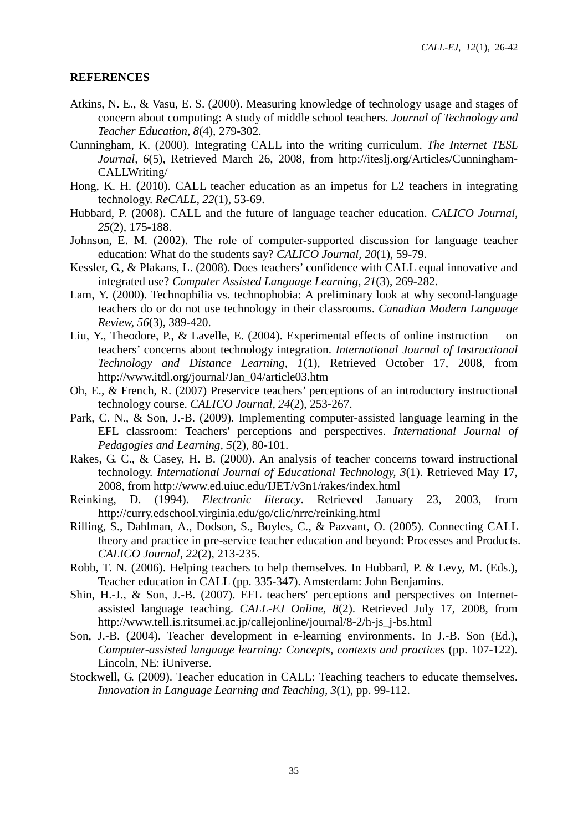#### **REFERENCES**

- Atkins, N. E., & Vasu, E. S. (2000). Measuring knowledge of technology usage and stages of concern about computing: A study of middle school teachers. *Journal of Technology and Teacher Education, 8*(4), 279-302.
- Cunningham, K. (2000). Integrating CALL into the writing curriculum. *The Internet TESL Journal, 6*(5), Retrieved March 26, 2008, from http://iteslj.org/Articles/Cunningham-CALLWriting/
- Hong, K. H. (2010). CALL teacher education as an impetus for L2 teachers in integrating technology. *ReCALL, 22*(1), 53-69.
- Hubbard, P. (2008). CALL and the future of language teacher education. *CALICO Journal, 25*(2), 175-188.
- Johnson, E. M. (2002). The role of computer-supported discussion for language teacher education: What do the students say? *CALICO Journal, 20*(1), 59-79.
- Kessler, G., & Plakans, L. (2008). Does teachers' confidence with CALL equal innovative and integrated use? *Computer Assisted Language Learning, 21*(3), 269-282.
- Lam, Y. (2000). Technophilia vs. technophobia: A preliminary look at why second-language teachers do or do not use technology in their classrooms. *Canadian Modern Language Review, 56*(3), 389-420.
- Liu, Y., Theodore, P., & Lavelle, E. (2004). Experimental effects of online instruction on teachers' concerns about technology integration. *International Journal of Instructional Technology and Distance Learning, 1*(1), Retrieved October 17, 2008, from http://www.itdl.org/journal/Jan\_04/article03.htm
- Oh, E., & French, R. (2007) Preservice teachers' perceptions of an introductory instructional technology course. *CALICO Journal, 24*(2), 253-267.
- Park, C. N., & Son, J.-B. (2009). Implementing computer-assisted language learning in the EFL classroom: Teachers' perceptions and perspectives. *International Journal of Pedagogies and Learning, 5*(2), 80-101.
- Rakes, G. C., & Casey, H. B. (2000). An analysis of teacher concerns toward instructional technology. *International Journal of Educational Technology, 3*(1). Retrieved May 17, 2008, from http://www.ed.uiuc.edu/IJET/v3n1/rakes/index.html
- Reinking, D. (1994). *Electronic literacy*. Retrieved January 23, 2003, from http://curry.edschool.virginia.edu/go/clic/nrrc/reinking.html
- Rilling, S., Dahlman, A., Dodson, S., Boyles, C., & Pazvant, O. (2005). Connecting CALL theory and practice in pre-service teacher education and beyond: Processes and Products. *CALICO Journal, 22*(2), 213-235.
- Robb, T. N. (2006). Helping teachers to help themselves. In Hubbard, P. & Levy, M. (Eds.), Teacher education in CALL (pp. 335-347). Amsterdam: John Benjamins.
- Shin, H.-J., & Son, J.-B. (2007). EFL teachers' perceptions and perspectives on Internetassisted language teaching. *CALL-EJ Online, 8*(2). Retrieved July 17, 2008, from http://www.tell.is.ritsumei.ac.jp/callejonline/journal/8-2/h-js\_j-bs.html
- Son, J.-B. (2004). Teacher development in e-learning environments. In J.-B. Son (Ed.), *Computer-assisted language learning: Concepts, contexts and practices* (pp. 107-122). Lincoln, NE: iUniverse.
- Stockwell, G. (2009). Teacher education in CALL: Teaching teachers to educate themselves. *Innovation in Language Learning and Teaching, 3*(1), pp. 99-112.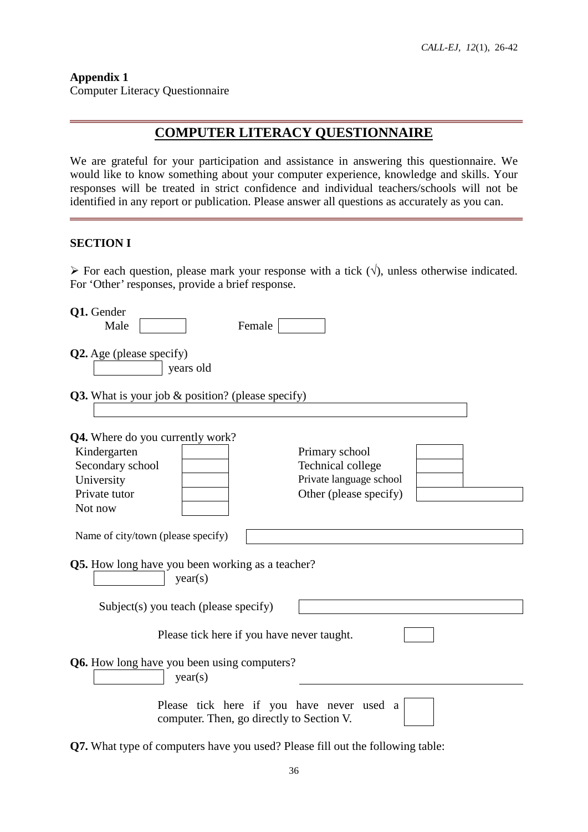**Appendix 1** Computer Literacy Questionnaire

# **COMPUTER LITERACY QUESTIONNAIRE**

We are grateful for your participation and assistance in answering this questionnaire. We would like to know something about your computer experience, knowledge and skills. Your responses will be treated in strict confidence and individual teachers/schools will not be identified in any report or publication. Please answer all questions as accurately as you can.

### **SECTION I**

For each question, please mark your response with a tick  $(\forall)$ , unless otherwise indicated. For 'Other' responses, provide a brief response.

| Q1. Gender                                                         |                                           |
|--------------------------------------------------------------------|-------------------------------------------|
| Male<br>Female                                                     |                                           |
| <b>Q2.</b> Age (please specify)<br>years old                       |                                           |
| Q3. What is your job & position? (please specify)                  |                                           |
| <b>Q4.</b> Where do you currently work?                            |                                           |
| Kindergarten                                                       | Primary school                            |
| Secondary school                                                   | Technical college                         |
| University                                                         | Private language school                   |
| Private tutor                                                      | Other (please specify)                    |
| Not now                                                            |                                           |
| Name of city/town (please specify)                                 |                                           |
| <b>Q5.</b> How long have you been working as a teacher?<br>year(s) |                                           |
| Subject(s) you teach (please specify)                              |                                           |
| Please tick here if you have never taught.                         |                                           |
| <b>Q6.</b> How long have you been using computers?<br>year(s)      |                                           |
| computer. Then, go directly to Section V.                          | Please tick here if you have never used a |
|                                                                    | 10.73<br>$C11$ $A1$ $C11$                 |

**Q7.** What type of computers have you used? Please fill out the following table: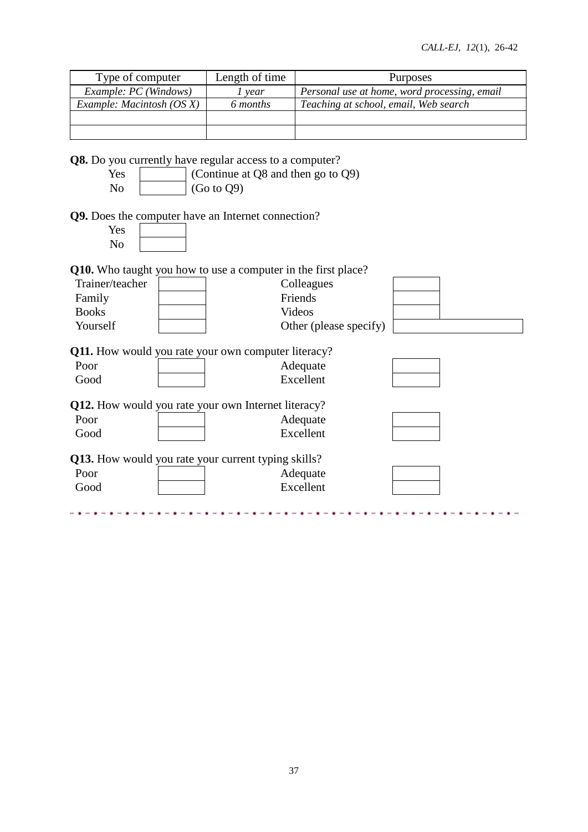| Type of computer                                                            | Length of time                     | Purposes                                     |  |  |  |  |  |  |
|-----------------------------------------------------------------------------|------------------------------------|----------------------------------------------|--|--|--|--|--|--|
| Example: PC (Windows)                                                       | $1$ year                           | Personal use at home, word processing, email |  |  |  |  |  |  |
| Example: Macintosh (OS X)                                                   | 6 months                           | Teaching at school, email, Web search        |  |  |  |  |  |  |
|                                                                             |                                    |                                              |  |  |  |  |  |  |
|                                                                             |                                    |                                              |  |  |  |  |  |  |
| <b>Q8.</b> Do you currently have regular access to a computer?              |                                    |                                              |  |  |  |  |  |  |
| Yes                                                                         | (Continue at Q8 and then go to Q9) |                                              |  |  |  |  |  |  |
| N <sub>o</sub>                                                              | (Go to Q9)                         |                                              |  |  |  |  |  |  |
| Q9. Does the computer have an Internet connection?<br>Yes<br>N <sub>o</sub> |                                    |                                              |  |  |  |  |  |  |
| <b>Q10.</b> Who taught you how to use a computer in the first place?        |                                    |                                              |  |  |  |  |  |  |
| Trainer/teacher                                                             |                                    | Colleagues                                   |  |  |  |  |  |  |
| Family                                                                      |                                    | Friends                                      |  |  |  |  |  |  |
| <b>Books</b>                                                                |                                    | <b>Videos</b>                                |  |  |  |  |  |  |
| Yourself                                                                    |                                    | Other (please specify)                       |  |  |  |  |  |  |
|                                                                             |                                    |                                              |  |  |  |  |  |  |
| <b>Q11.</b> How would you rate your own computer literacy?                  |                                    |                                              |  |  |  |  |  |  |
| Poor                                                                        |                                    | Adequate                                     |  |  |  |  |  |  |
| Good                                                                        |                                    | Excellent                                    |  |  |  |  |  |  |
|                                                                             |                                    |                                              |  |  |  |  |  |  |
| Q12. How would you rate your own Internet literacy?                         |                                    |                                              |  |  |  |  |  |  |
| Poor                                                                        |                                    | Adequate                                     |  |  |  |  |  |  |
| Good                                                                        |                                    | Excellent                                    |  |  |  |  |  |  |
| Q13. How would you rate your current typing skills?                         |                                    |                                              |  |  |  |  |  |  |
| Poor                                                                        |                                    | Adequate                                     |  |  |  |  |  |  |
| Good                                                                        |                                    | Excellent                                    |  |  |  |  |  |  |
|                                                                             |                                    |                                              |  |  |  |  |  |  |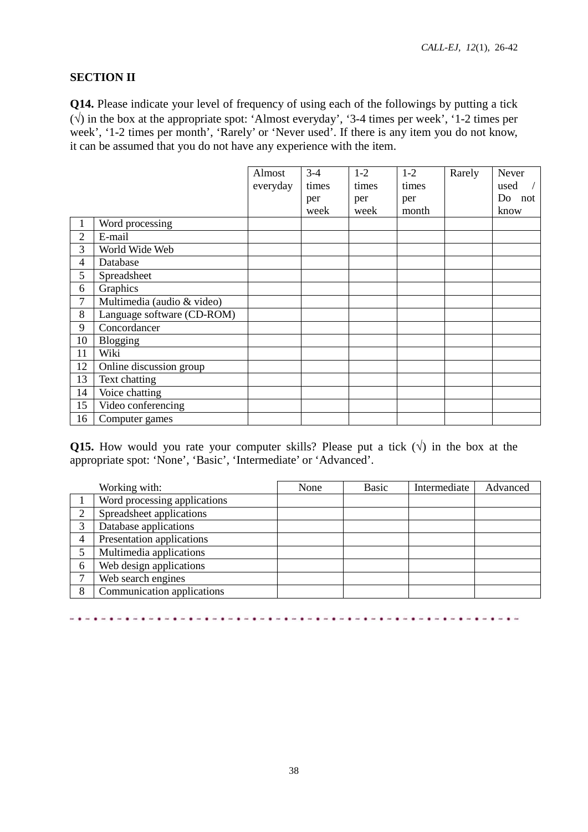### **SECTION II**

**Q14.** Please indicate your level of frequency of using each of the followings by putting a tick (√) in the box at the appropriate spot: 'Almost everyday', '3-4 times per week', '1-2 times per week', '1-2 times per month', 'Rarely' or 'Never used'. If there is any item you do not know, it can be assumed that you do not have any experience with the item.

|                |                            | Almost   | $3-4$ | $1-2$ | $1-2$ | Rarely | Never  |
|----------------|----------------------------|----------|-------|-------|-------|--------|--------|
|                |                            | everyday | times | times | times |        | used   |
|                |                            |          | per   | per   | per   |        | Do not |
|                |                            |          | week  | week  | month |        | know   |
|                | Word processing            |          |       |       |       |        |        |
| $\overline{2}$ | E-mail                     |          |       |       |       |        |        |
| 3              | World Wide Web             |          |       |       |       |        |        |
| $\overline{4}$ | Database                   |          |       |       |       |        |        |
| 5              | Spreadsheet                |          |       |       |       |        |        |
| 6              | Graphics                   |          |       |       |       |        |        |
| 7              | Multimedia (audio & video) |          |       |       |       |        |        |
| 8              | Language software (CD-ROM) |          |       |       |       |        |        |
| 9              | Concordancer               |          |       |       |       |        |        |
| 10             | Blogging                   |          |       |       |       |        |        |
| 11             | Wiki                       |          |       |       |       |        |        |
| 12             | Online discussion group    |          |       |       |       |        |        |
| 13             | Text chatting              |          |       |       |       |        |        |
| 14             | Voice chatting             |          |       |       |       |        |        |
| 15             | Video conferencing         |          |       |       |       |        |        |
| 16             | Computer games             |          |       |       |       |        |        |

**Q15.** How would you rate your computer skills? Please put a tick  $(\sqrt{})$  in the box at the appropriate spot: 'None', 'Basic', 'Intermediate' or 'Advanced'.

|   | Working with:                | None | Basic | Intermediate | Advanced |
|---|------------------------------|------|-------|--------------|----------|
|   | Word processing applications |      |       |              |          |
| 2 | Spreadsheet applications     |      |       |              |          |
|   | Database applications        |      |       |              |          |
| 4 | Presentation applications    |      |       |              |          |
|   | Multimedia applications      |      |       |              |          |
| 6 | Web design applications      |      |       |              |          |
|   | Web search engines           |      |       |              |          |
| 8 | Communication applications   |      |       |              |          |

####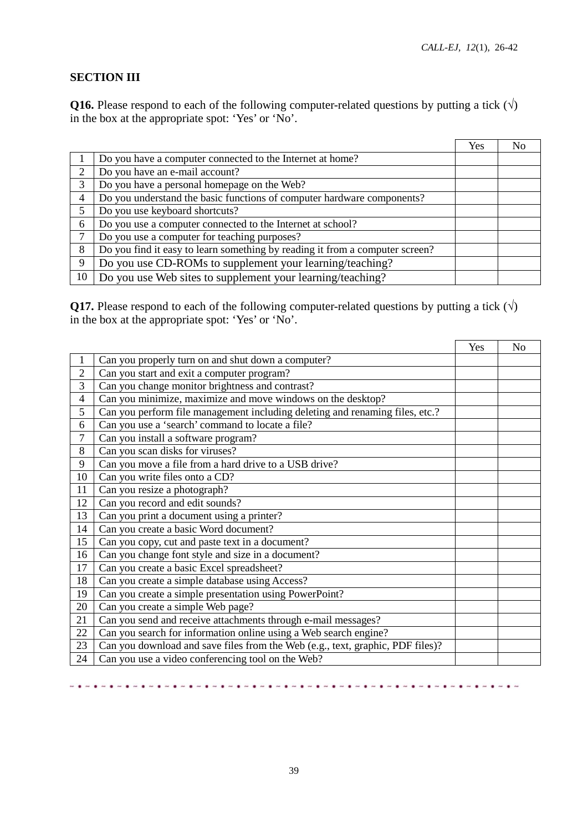$\mathbf{r}$ 

# **SECTION III**

**Q16.** Please respond to each of the following computer-related questions by putting a tick  $(\sqrt{})$ in the box at the appropriate spot: 'Yes' or 'No'.

|                             |                                                                              | Yes |  |
|-----------------------------|------------------------------------------------------------------------------|-----|--|
|                             | Do you have a computer connected to the Internet at home?                    |     |  |
| $\mathcal{D}_{\mathcal{L}}$ | Do you have an e-mail account?                                               |     |  |
| 3                           | Do you have a personal homepage on the Web?                                  |     |  |
| $\overline{4}$              | Do you understand the basic functions of computer hardware components?       |     |  |
| 5                           | Do you use keyboard shortcuts?                                               |     |  |
| 6                           | Do you use a computer connected to the Internet at school?                   |     |  |
| ⇁                           | Do you use a computer for teaching purposes?                                 |     |  |
| 8                           | Do you find it easy to learn something by reading it from a computer screen? |     |  |
| 9                           | Do you use CD-ROMs to supplement your learning/teaching?                     |     |  |
| 10                          | Do you use Web sites to supplement your learning/teaching?                   |     |  |

**Q17.** Please respond to each of the following computer-related questions by putting a tick  $(\forall)$ in the box at the appropriate spot: 'Yes' or 'No'.

|                |                                                                                | Yes | No |
|----------------|--------------------------------------------------------------------------------|-----|----|
| 1              | Can you properly turn on and shut down a computer?                             |     |    |
| $\overline{2}$ | Can you start and exit a computer program?                                     |     |    |
| 3              | Can you change monitor brightness and contrast?                                |     |    |
| $\overline{4}$ | Can you minimize, maximize and move windows on the desktop?                    |     |    |
| 5              | Can you perform file management including deleting and renaming files, etc.?   |     |    |
| 6              | Can you use a 'search' command to locate a file?                               |     |    |
| $\tau$         | Can you install a software program?                                            |     |    |
| 8              | Can you scan disks for viruses?                                                |     |    |
| 9              | Can you move a file from a hard drive to a USB drive?                          |     |    |
| 10             | Can you write files onto a CD?                                                 |     |    |
| 11             | Can you resize a photograph?                                                   |     |    |
| 12             | Can you record and edit sounds?                                                |     |    |
| 13             | Can you print a document using a printer?                                      |     |    |
| 14             | Can you create a basic Word document?                                          |     |    |
| 15             | Can you copy, cut and paste text in a document?                                |     |    |
| 16             | Can you change font style and size in a document?                              |     |    |
| 17             | Can you create a basic Excel spreadsheet?                                      |     |    |
| 18             | Can you create a simple database using Access?                                 |     |    |
| 19             | Can you create a simple presentation using PowerPoint?                         |     |    |
| 20             | Can you create a simple Web page?                                              |     |    |
| 21             | Can you send and receive attachments through e-mail messages?                  |     |    |
| 22             | Can you search for information online using a Web search engine?               |     |    |
| 23             | Can you download and save files from the Web (e.g., text, graphic, PDF files)? |     |    |
| 24             | Can you use a video conferencing tool on the Web?                              |     |    |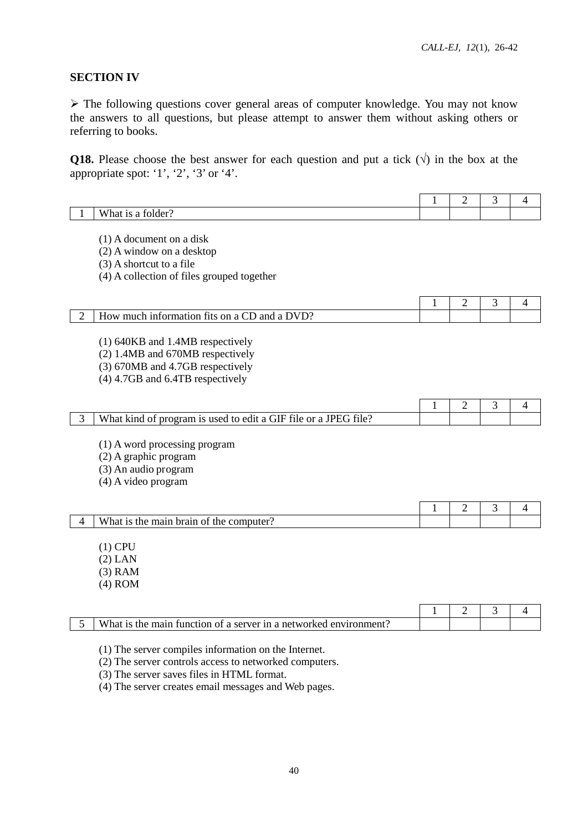# **SECTION IV**

 The following questions cover general areas of computer knowledge. You may not know the answers to all questions, but please attempt to answer them without asking others or referring to books.

**Q18.** Please choose the best answer for each question and put a tick  $(\sqrt{)}$  in the box at the appropriate spot: '1', '2', '3' or '4'.

|                |                                                                                                                | 1 | $\overline{2}$ | 3 | $\overline{4}$ |
|----------------|----------------------------------------------------------------------------------------------------------------|---|----------------|---|----------------|
|                | What is a folder?                                                                                              |   |                |   |                |
|                |                                                                                                                |   |                |   |                |
|                | $(1)$ A document on a disk                                                                                     |   |                |   |                |
|                | (2) A window on a desktop                                                                                      |   |                |   |                |
|                | $(3)$ A shortcut to a file                                                                                     |   |                |   |                |
|                | (4) A collection of files grouped together                                                                     |   |                |   |                |
|                |                                                                                                                |   |                |   |                |
|                |                                                                                                                | 1 | $\overline{2}$ | 3 | 4              |
| $\overline{c}$ | How much information fits on a CD and a DVD?                                                                   |   |                |   |                |
|                |                                                                                                                |   |                |   |                |
|                | (1) 640KB and 1.4MB respectively<br>(2) 1.4MB and 670MB respectively                                           |   |                |   |                |
|                | (3) 670MB and 4.7GB respectively                                                                               |   |                |   |                |
|                | (4) 4.7GB and 6.4TB respectively                                                                               |   |                |   |                |
|                |                                                                                                                |   |                |   |                |
|                |                                                                                                                | 1 | $\overline{2}$ | 3 | 4              |
| 3              | What kind of program is used to edit a GIF file or a JPEG file?                                                |   |                |   |                |
|                |                                                                                                                |   |                |   |                |
|                | (1) A word processing program                                                                                  |   |                |   |                |
|                | (2) A graphic program                                                                                          |   |                |   |                |
|                | (3) An audio program                                                                                           |   |                |   |                |
|                | $(4)$ A video program                                                                                          |   |                |   |                |
|                |                                                                                                                |   |                |   |                |
|                |                                                                                                                | 1 | $\overline{2}$ | 3 | 4              |
| 4              | What is the main brain of the computer?                                                                        |   |                |   |                |
|                |                                                                                                                |   |                |   |                |
|                | $(1)$ CPU                                                                                                      |   |                |   |                |
|                | $(2)$ LAN                                                                                                      |   |                |   |                |
|                | $(3)$ RAM                                                                                                      |   |                |   |                |
|                | $(4)$ ROM                                                                                                      |   |                |   |                |
|                |                                                                                                                |   |                |   |                |
|                | What is the main function of a server in a networked environment?                                              | 1 | 2              | 3 | 4              |
| 5              |                                                                                                                |   |                |   |                |
|                |                                                                                                                |   |                |   |                |
|                |                                                                                                                |   |                |   |                |
|                | (1) The server compiles information on the Internet.<br>(2) The server controls access to networked computers. |   |                |   |                |

(3) The server saves files in HTML format.

(4) The server creates email messages and Web pages.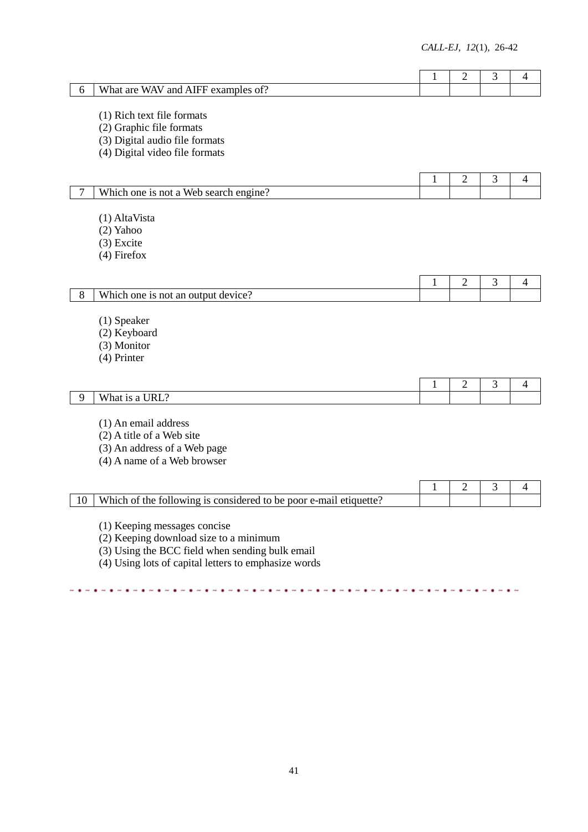| 6  | What are WAV and AIFF examples of?                                                                                                                                                | 1            | $\overline{2}$ | 3 | 4 |
|----|-----------------------------------------------------------------------------------------------------------------------------------------------------------------------------------|--------------|----------------|---|---|
|    | (1) Rich text file formats<br>(2) Graphic file formats                                                                                                                            |              |                |   |   |
|    | (3) Digital audio file formats<br>(4) Digital video file formats                                                                                                                  |              |                |   |   |
|    |                                                                                                                                                                                   | 1            | $\mathfrak{2}$ | 3 | 4 |
| 7  | Which one is not a Web search engine?                                                                                                                                             |              |                |   |   |
|    | (1) AltaVista<br>$(2)$ Yahoo<br>$(3)$ Excite<br>$(4)$ Firefox                                                                                                                     |              |                |   |   |
|    |                                                                                                                                                                                   | $\mathbf{1}$ | $\overline{2}$ | 3 | 4 |
| 8  | Which one is not an output device?                                                                                                                                                |              |                |   |   |
|    | (1) Speaker<br>(2) Keyboard<br>(3) Monitor<br>(4) Printer                                                                                                                         |              |                |   |   |
|    |                                                                                                                                                                                   | 1            | $\overline{2}$ | 3 | 4 |
| 9  | What is a URL?                                                                                                                                                                    |              |                |   |   |
|    | (1) An email address<br>$(2)$ A title of a Web site<br>(3) An address of a Web page<br>(4) A name of a Web browser                                                                |              |                |   |   |
|    |                                                                                                                                                                                   | 1            | $\overline{2}$ | 3 | 4 |
| 10 | Which of the following is considered to be poor e-mail etiquette?                                                                                                                 |              |                |   |   |
|    | (1) Keeping messages concise<br>(2) Keeping download size to a minimum<br>(3) Using the BCC field when sending bulk email<br>(4) Using lots of capital letters to emphasize words |              |                |   |   |